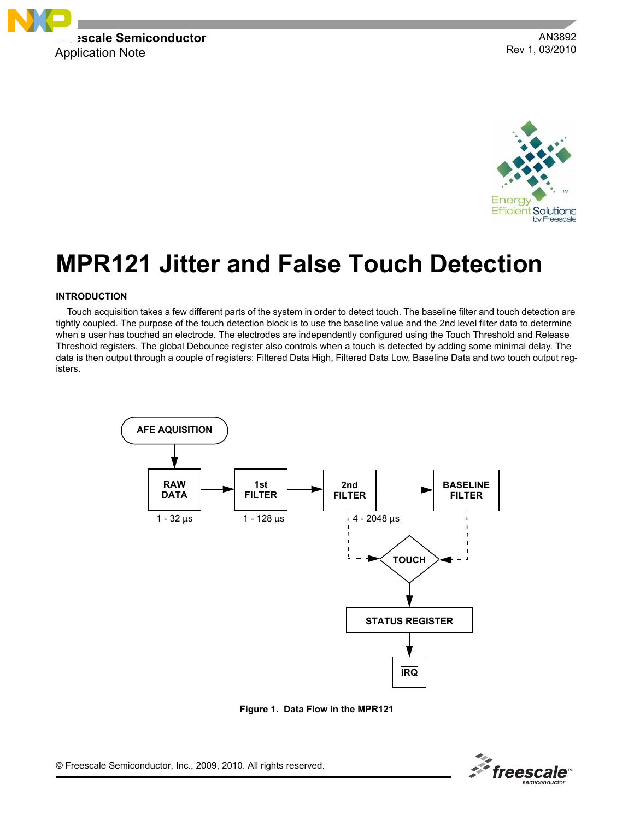

AN3892 Rev 1, 03/2010



# **MPR121 Jitter and False Touch Detection**

## **INTRODUCTION**

Touch acquisition takes a few different parts of the system in order to detect touch. The baseline filter and touch detection are tightly coupled. The purpose of the touch detection block is to use the baseline value and the 2nd level filter data to determine when a user has touched an electrode. The electrodes are independently configured using the Touch Threshold and Release Threshold registers. The global Debounce register also controls when a touch is detected by adding some minimal delay. The data is then output through a couple of registers: Filtered Data High, Filtered Data Low, Baseline Data and two touch output registers.



**Figure 1. Data Flow in the MPR121**

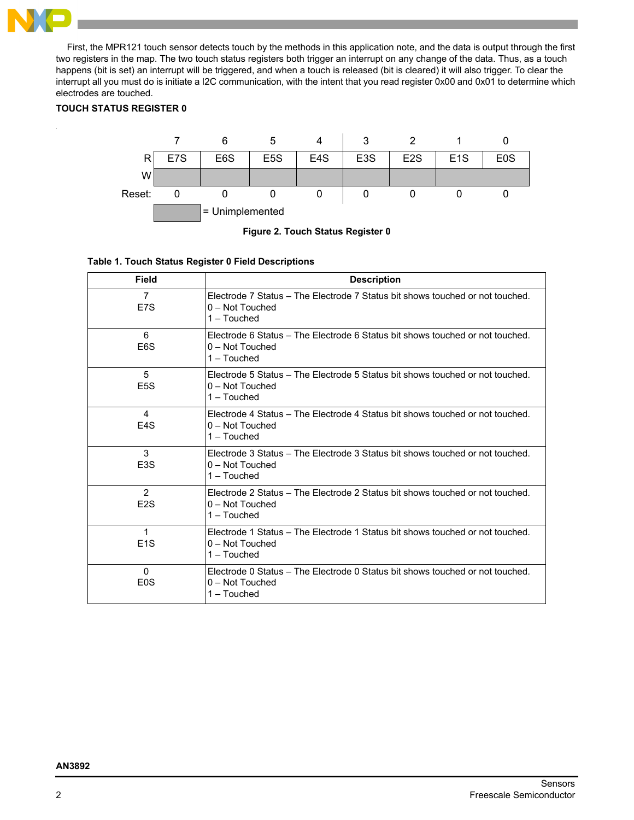

First, the MPR121 touch sensor detects touch by the methods in this application note, and the data is output through the first two registers in the map. The two touch status registers both trigger an interrupt on any change of the data. Thus, as a touch happens (bit is set) an interrupt will be triggered, and when a touch is released (bit is cleared) it will also trigger. To clear the interrupt all you must do is initiate a I2C communication, with the intent that you read register 0x00 and 0x01 to determine which electrodes are touched.

# **TOUCH STATUS REGISTER 0**



**Figure 2. Touch Status Register 0**

# **Table 1. Touch Status Register 0 Field Descriptions**

| <b>Field</b>                       | <b>Description</b>                                                                                                  |
|------------------------------------|---------------------------------------------------------------------------------------------------------------------|
| $\overline{7}$<br>E7S              | Electrode 7 Status – The Electrode 7 Status bit shows touched or not touched.<br>$0 - Not$ Touched<br>$1 - Touched$ |
| 6<br>E <sub>6</sub> S              | Electrode 6 Status – The Electrode 6 Status bit shows touched or not touched.<br>0 - Not Touched<br>$1 - Touched$   |
| 5<br>E <sub>5</sub> S              | Electrode 5 Status – The Electrode 5 Status bit shows touched or not touched.<br>$0 - Not$ Touched<br>$1 - Touched$ |
| $\overline{4}$<br>F <sub>4</sub> S | Flectrode 4 Status – The Flectrode 4 Status bit shows touched or not touched.<br>$0 - Not$ Touched<br>$1 - Touched$ |
| 3<br>E <sub>3</sub> S              | Electrode 3 Status – The Electrode 3 Status bit shows touched or not touched.<br>$0 - Not$ Touched<br>1 - Touched   |
| $\overline{2}$<br>E <sub>2</sub> S | Electrode 2 Status – The Electrode 2 Status bit shows touched or not touched.<br>0 - Not Touched<br>$1 - Touched$   |
| $\mathbf{1}$<br>E <sub>1</sub> S   | Electrode 1 Status - The Electrode 1 Status bit shows touched or not touched.<br>$0 - Not$ Touched<br>$1 - Touched$ |
| $\Omega$<br>E <sub>0</sub> S       | Electrode 0 Status – The Electrode 0 Status bit shows touched or not touched.<br>$0 - Not$ Touched<br>1 – Touched   |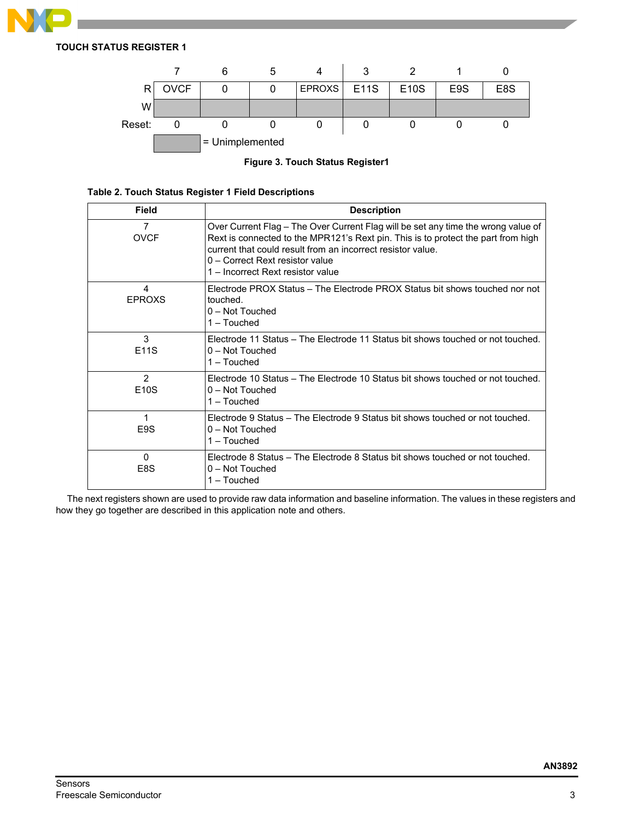

**TOUCH STATUS REGISTER 1**



**Figure 3. Touch Status Register1**

|  |  |  |  |  | Table 2. Touch Status Register 1 Field Descriptions |
|--|--|--|--|--|-----------------------------------------------------|
|--|--|--|--|--|-----------------------------------------------------|

| Field                              | <b>Description</b>                                                                                                                                                                                                                                                                                            |
|------------------------------------|---------------------------------------------------------------------------------------------------------------------------------------------------------------------------------------------------------------------------------------------------------------------------------------------------------------|
| 7<br><b>OVCF</b>                   | Over Current Flag - The Over Current Flag will be set any time the wrong value of<br>Rext is connected to the MPR121's Rext pin. This is to protect the part from high<br>current that could result from an incorrect resistor value.<br>0 - Correct Rext resistor value<br>1 – Incorrect Rext resistor value |
| 4<br><b>EPROXS</b>                 | Flectrode PROX Status – The Flectrode PROX Status bit shows touched nor not<br>touched.<br>0 - Not Touched<br>$1 -$ Touched                                                                                                                                                                                   |
| 3<br>E11S                          | Flectrode 11 Status – The Flectrode 11 Status bit shows fouched or not fouched.<br>$0 - Not$ Touched<br>1 - Touched                                                                                                                                                                                           |
| $\mathcal{P}$<br>E <sub>10</sub> S | Electrode 10 Status – The Electrode 10 Status bit shows touched or not touched.<br>0 - Not Touched<br>1 - Touched                                                                                                                                                                                             |
| E <sub>9</sub> S                   | Electrode 9 Status – The Electrode 9 Status bit shows touched or not touched.<br>0 - Not Touched<br>$1 - Touched$                                                                                                                                                                                             |
| $\Omega$<br>E8S                    | Electrode 8 Status – The Electrode 8 Status bit shows touched or not touched.<br>0 - Not Touched<br>1 – Touched                                                                                                                                                                                               |

The next registers shown are used to provide raw data information and baseline information. The values in these registers and how they go together are described in this application note and others.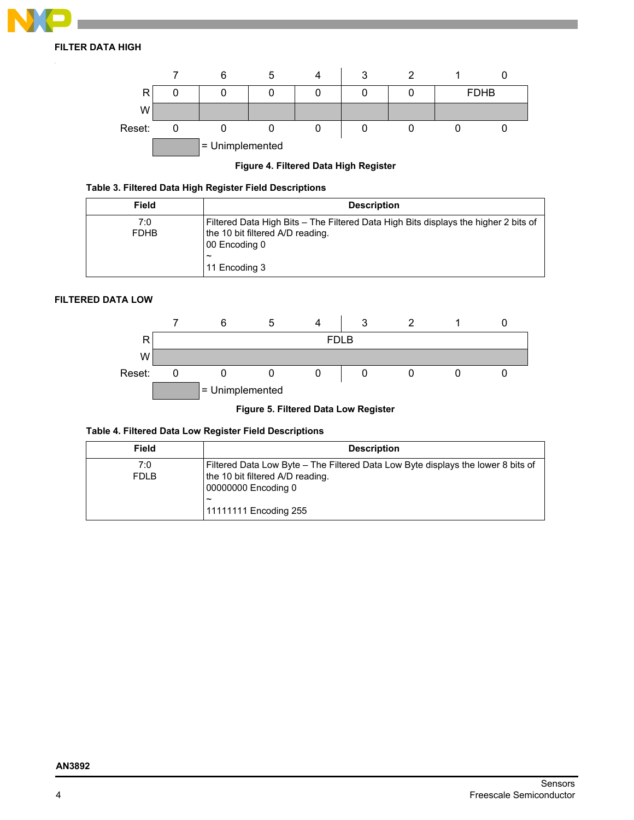

# **FILTER DATA HIGH**



# **Figure 4. Filtered Data High Register**

# **Table 3. Filtered Data High Register Field Descriptions**

| <b>Field</b>       | <b>Description</b>                                                                                                                                                |
|--------------------|-------------------------------------------------------------------------------------------------------------------------------------------------------------------|
| 7:0<br><b>FDHB</b> | Filtered Data High Bits - The Filtered Data High Bits displays the higher 2 bits of<br>the 10 bit filtered A/D reading.<br>00 Encoding 0<br>$\tilde{\phantom{a}}$ |
|                    | 11 Encoding 3                                                                                                                                                     |

# **FILTERED DATA LOW**



# **Figure 5. Filtered Data Low Register**

# **Table 4. Filtered Data Low Register Field Descriptions**

| <b>Field</b>       | <b>Description</b>                                                                                                                                                                            |
|--------------------|-----------------------------------------------------------------------------------------------------------------------------------------------------------------------------------------------|
| 7:0<br><b>FDLB</b> | Filtered Data Low Byte – The Filtered Data Low Byte displays the lower 8 bits of<br>the 10 bit filtered A/D reading.<br>00000000 Encoding 0<br>$\tilde{\phantom{a}}$<br>11111111 Encoding 255 |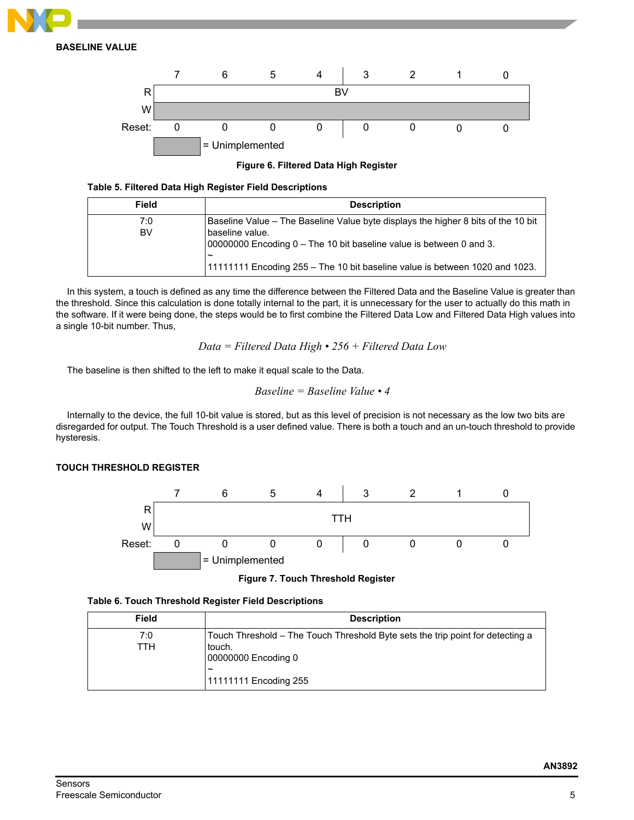

**BASELINE VALUE**



**Figure 6. Filtered Data High Register**

# **Table 5. Filtered Data High Register Field Descriptions**

| Field            | <b>Description</b>                                                                                                                                                                                                                                              |
|------------------|-----------------------------------------------------------------------------------------------------------------------------------------------------------------------------------------------------------------------------------------------------------------|
| 7:0<br><b>BV</b> | Baseline Value – The Baseline Value byte displays the higher 8 bits of the 10 bit<br>baseline value.<br>00000000 Encoding 0 – The 10 bit baseline value is between 0 and 3.<br>~<br>11111111 Encoding 255 – The 10 bit baseline value is between 1020 and 1023. |

In this system, a touch is defined as any time the difference between the Filtered Data and the Baseline Value is greater than the threshold. Since this calculation is done totally internal to the part, it is unnecessary for the user to actually do this math in the software. If it were being done, the steps would be to first combine the Filtered Data Low and Filtered Data High values into a single 10-bit number. Thus,

*Data = Filtered Data High • 256 + Filtered Data Low*

The baseline is then shifted to the left to make it equal scale to the Data.

*Baseline = Baseline Value • 4*

Internally to the device, the full 10-bit value is stored, but as this level of precision is not necessary as the low two bits are disregarded for output. The Touch Threshold is a user defined value. There is both a touch and an un-touch threshold to provide hysteresis.

## **TOUCH THRESHOLD REGISTER**



**Figure 7. Touch Threshold Register**

|  |  |  |  |  | Table 6. Touch Threshold Register Field Descriptions |
|--|--|--|--|--|------------------------------------------------------|
|--|--|--|--|--|------------------------------------------------------|

| <b>Field</b> | <b>Description</b>                                                                                                                                                |
|--------------|-------------------------------------------------------------------------------------------------------------------------------------------------------------------|
| 7:0<br>ттн   | Touch Threshold – The Touch Threshold Byte sets the trip point for detecting a<br>touch.<br>00000000 Encoding 0<br>$\tilde{\phantom{a}}$<br>11111111 Encoding 255 |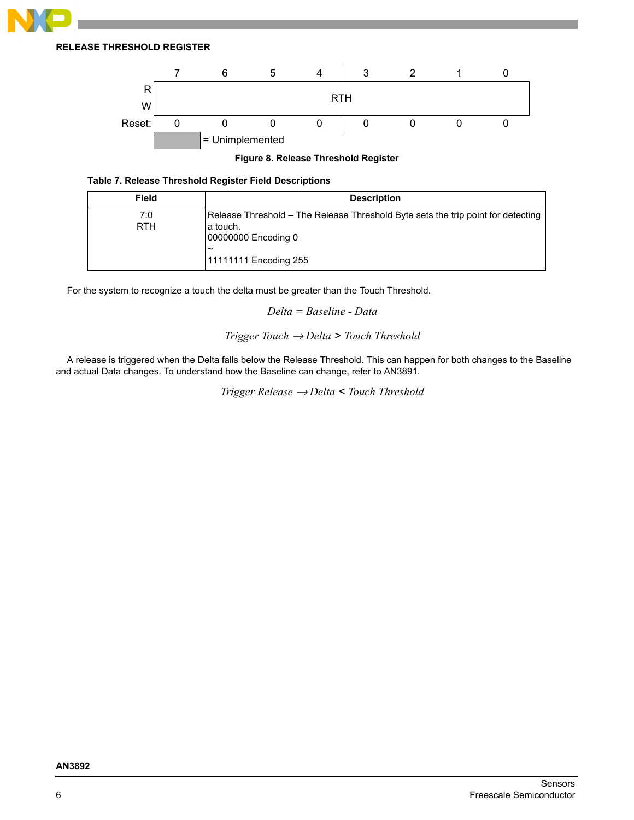

**RELEASE THRESHOLD REGISTER**



**Figure 8. Release Threshold Register**

## **Table 7. Release Threshold Register Field Descriptions**

| <b>Field</b> | <b>Description</b>                                                               |
|--------------|----------------------------------------------------------------------------------|
| 7:0          | Release Threshold – The Release Threshold Byte sets the trip point for detecting |
| <b>RTH</b>   | l a touch.<br>00000000 Encoding 0<br>$\sim$                                      |
|              | 11111111 Encoding 255                                                            |

For the system to recognize a touch the delta must be greater than the Touch Threshold.

*Delta = Baseline - Data*

# *Trigger Touch* → *Delta > Touch Threshold*

A release is triggered when the Delta falls below the Release Threshold. This can happen for both changes to the Baseline and actual Data changes. To understand how the Baseline can change, refer to AN3891.

*Trigger Release* → *Delta < Touch Threshold*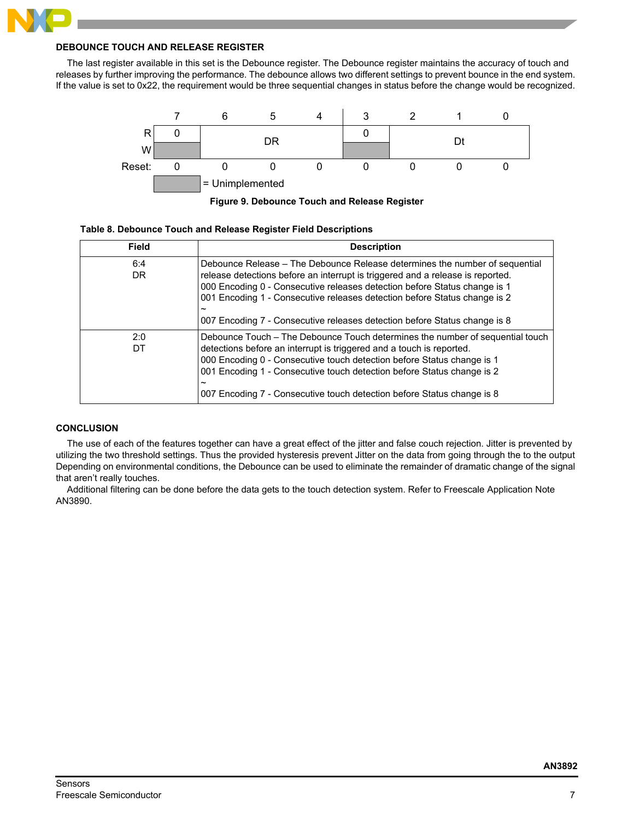# **DEBOUNCE TOUCH AND RELEASE REGISTER**

The last register available in this set is the Debounce register. The Debounce register maintains the accuracy of touch and releases by further improving the performance. The debounce allows two different settings to prevent bounce in the end system. If the value is set to 0x22, the requirement would be three sequential changes in status before the change would be recognized.





### **Table 8. Debounce Touch and Release Register Field Descriptions**

| <b>Field</b>     | <b>Description</b>                                                                                                                                                                                                                                                                                                                                                                                                            |
|------------------|-------------------------------------------------------------------------------------------------------------------------------------------------------------------------------------------------------------------------------------------------------------------------------------------------------------------------------------------------------------------------------------------------------------------------------|
| 6:4<br><b>DR</b> | Debounce Release – The Debounce Release determines the number of sequential<br>release detections before an interrupt is triggered and a release is reported.<br>000 Encoding 0 - Consecutive releases detection before Status change is 1<br>001 Encoding 1 - Consecutive releases detection before Status change is 2<br>$\tilde{\phantom{a}}$<br>007 Encoding 7 - Consecutive releases detection before Status change is 8 |
| 2:0<br>DT        | Debounce Touch – The Debounce Touch determines the number of sequential touch<br>detections before an interrupt is triggered and a touch is reported.<br>000 Encoding 0 - Consecutive touch detection before Status change is 1<br>001 Encoding 1 - Consecutive touch detection before Status change is 2<br>$\tilde{\phantom{a}}$<br>007 Encoding 7 - Consecutive touch detection before Status change is 8                  |

# **CONCLUSION**

The use of each of the features together can have a great effect of the jitter and false couch rejection. Jitter is prevented by utilizing the two threshold settings. Thus the provided hysteresis prevent Jitter on the data from going through the to the output Depending on environmental conditions, the Debounce can be used to eliminate the remainder of dramatic change of the signal that aren't really touches.

Additional filtering can be done before the data gets to the touch detection system. Refer to Freescale Application Note AN3890.